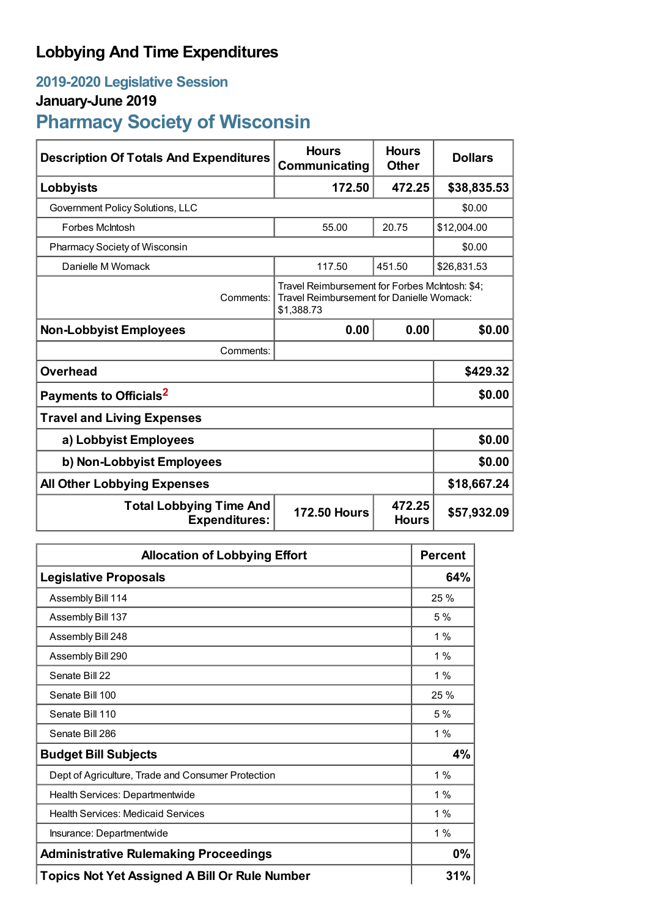## **Lobbying And Time Expenditures**

## **2019-2020 Legislative Session**

## **January-June 2019**

# **Pharmacy Society of Wisconsin**

| <b>Description Of Totals And Expenditures</b>          | <b>Hours</b><br>Communicating                                                                             | <b>Hours</b><br><b>Other</b> | <b>Dollars</b> |
|--------------------------------------------------------|-----------------------------------------------------------------------------------------------------------|------------------------------|----------------|
| Lobbyists                                              | 172.50                                                                                                    | 472.25                       | \$38,835.53    |
| Government Policy Solutions, LLC                       |                                                                                                           |                              | \$0.00         |
| <b>Forbes McIntosh</b>                                 | 55.00                                                                                                     | 20.75                        | \$12,004.00    |
| Pharmacy Society of Wisconsin                          |                                                                                                           | \$0.00                       |                |
| Danielle M Womack                                      | 117.50                                                                                                    | 451.50                       | \$26,831.53    |
| Comments:                                              | Travel Reimbursement for Forbes McIntosh: \$4;<br>Travel Reimbursement for Danielle Womack:<br>\$1,388.73 |                              |                |
| <b>Non-Lobbyist Employees</b>                          | 0.00                                                                                                      | 0.00                         | \$0.00         |
| Comments:                                              |                                                                                                           |                              |                |
| <b>Overhead</b>                                        |                                                                                                           |                              | \$429.32       |
| Payments to Officials <sup>2</sup>                     |                                                                                                           |                              | \$0.00         |
| <b>Travel and Living Expenses</b>                      |                                                                                                           |                              |                |
| a) Lobbyist Employees                                  |                                                                                                           |                              | \$0.00         |
| b) Non-Lobbyist Employees                              |                                                                                                           |                              | \$0.00         |
| <b>All Other Lobbying Expenses</b>                     |                                                                                                           |                              | \$18,667.24    |
| <b>Total Lobbying Time And</b><br><b>Expenditures:</b> | <b>172.50 Hours</b>                                                                                       | 472.25<br><b>Hours</b>       | \$57,932.09    |

| <b>Allocation of Lobbying Effort</b>                 | <b>Percent</b> |
|------------------------------------------------------|----------------|
| <b>Legislative Proposals</b>                         | 64%            |
| Assembly Bill 114                                    | 25 %           |
| Assembly Bill 137                                    | 5%             |
| Assembly Bill 248                                    | $1\%$          |
| Assembly Bill 290                                    | 1 %            |
| Senate Bill 22                                       | 1%             |
| Senate Bill 100                                      | 25 %           |
| Senate Bill 110                                      | 5%             |
| Senate Bill 286                                      | $1\%$          |
| <b>Budget Bill Subjects</b>                          | 4%             |
| Dept of Agriculture, Trade and Consumer Protection   | 1%             |
| Health Services: Departmentwide                      | 1%             |
| <b>Health Services: Medicaid Services</b>            | $1\%$          |
| Insurance: Departmentwide                            | $1\%$          |
| <b>Administrative Rulemaking Proceedings</b>         | 0%             |
| <b>Topics Not Yet Assigned A Bill Or Rule Number</b> | 31%            |